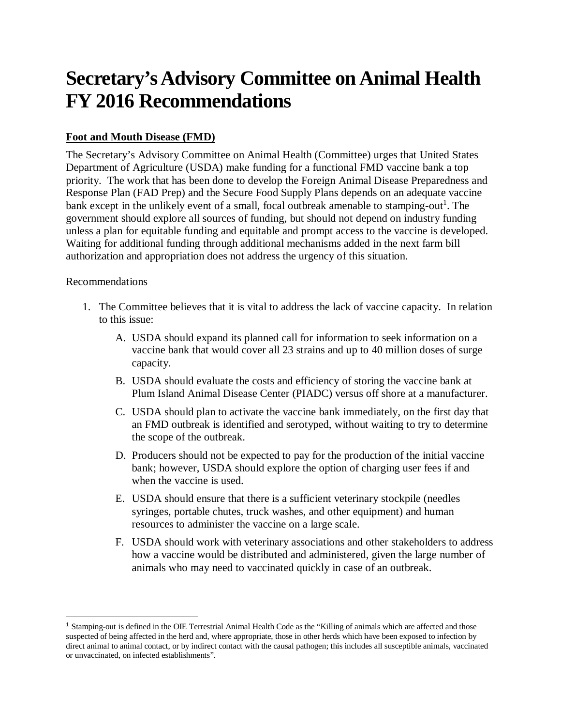# **Secretary's Advisory Committee on Animal Health FY 2016 Recommendations**

## **Foot and Mouth Disease (FMD)**

The Secretary's Advisory Committee on Animal Health (Committee) urges that United States Department of Agriculture (USDA) make funding for a functional FMD vaccine bank a top priority. The work that has been done to develop the Foreign Animal Disease Preparedness and Response Plan (FAD Prep) and the Secure Food Supply Plans depends on an adequate vaccine bank except in the unlikely event of a small, focal outbreak amenable to stamping-out<sup>1</sup>. The government should explore all sources of funding, but should not depend on industry funding unless a plan for equitable funding and equitable and prompt access to the vaccine is developed. Waiting for additional funding through additional mechanisms added in the next farm bill authorization and appropriation does not address the urgency of this situation.

#### Recommendations

 $\overline{a}$ 

- 1. The Committee believes that it is vital to address the lack of vaccine capacity. In relation to this issue:
	- A. USDA should expand its planned call for information to seek information on a vaccine bank that would cover all 23 strains and up to 40 million doses of surge capacity.
	- B. USDA should evaluate the costs and efficiency of storing the vaccine bank at Plum Island Animal Disease Center (PIADC) versus off shore at a manufacturer.
	- C. USDA should plan to activate the vaccine bank immediately, on the first day that an FMD outbreak is identified and serotyped, without waiting to try to determine the scope of the outbreak.
	- D. Producers should not be expected to pay for the production of the initial vaccine bank; however, USDA should explore the option of charging user fees if and when the vaccine is used.
	- E. USDA should ensure that there is a sufficient veterinary stockpile (needles syringes, portable chutes, truck washes, and other equipment) and human resources to administer the vaccine on a large scale.
	- F. USDA should work with veterinary associations and other stakeholders to address how a vaccine would be distributed and administered, given the large number of animals who may need to vaccinated quickly in case of an outbreak.

<sup>1</sup> Stamping-out is defined in the OIE Terrestrial Animal Health Code as the "Killing of animals which are affected and those suspected of being affected in the herd and, where appropriate, those in other herds which have been exposed to infection by direct animal to animal contact, or by indirect contact with the causal pathogen; this includes all susceptible animals, vaccinated or unvaccinated, on infected establishments".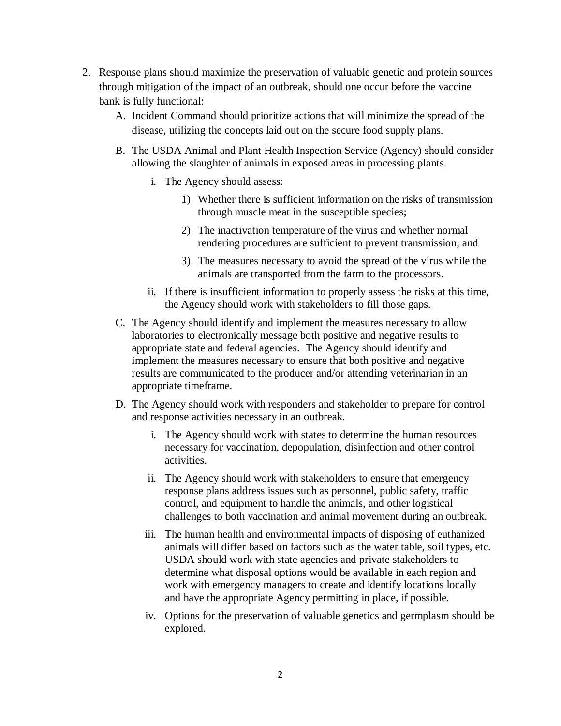- 2. Response plans should maximize the preservation of valuable genetic and protein sources through mitigation of the impact of an outbreak, should one occur before the vaccine bank is fully functional:
	- A. Incident Command should prioritize actions that will minimize the spread of the disease, utilizing the concepts laid out on the secure food supply plans.
	- B. The USDA Animal and Plant Health Inspection Service (Agency) should consider allowing the slaughter of animals in exposed areas in processing plants.
		- i. The Agency should assess:
			- 1) Whether there is sufficient information on the risks of transmission through muscle meat in the susceptible species;
			- 2) The inactivation temperature of the virus and whether normal rendering procedures are sufficient to prevent transmission; and
			- 3) The measures necessary to avoid the spread of the virus while the animals are transported from the farm to the processors.
		- ii. If there is insufficient information to properly assess the risks at this time, the Agency should work with stakeholders to fill those gaps.
	- C. The Agency should identify and implement the measures necessary to allow laboratories to electronically message both positive and negative results to appropriate state and federal agencies. The Agency should identify and implement the measures necessary to ensure that both positive and negative results are communicated to the producer and/or attending veterinarian in an appropriate timeframe.
	- D. The Agency should work with responders and stakeholder to prepare for control and response activities necessary in an outbreak.
		- i. The Agency should work with states to determine the human resources necessary for vaccination, depopulation, disinfection and other control activities.
		- ii. The Agency should work with stakeholders to ensure that emergency response plans address issues such as personnel, public safety, traffic control, and equipment to handle the animals, and other logistical challenges to both vaccination and animal movement during an outbreak.
		- iii. The human health and environmental impacts of disposing of euthanized animals will differ based on factors such as the water table, soil types, etc. USDA should work with state agencies and private stakeholders to determine what disposal options would be available in each region and work with emergency managers to create and identify locations locally and have the appropriate Agency permitting in place, if possible.
		- iv. Options for the preservation of valuable genetics and germplasm should be explored.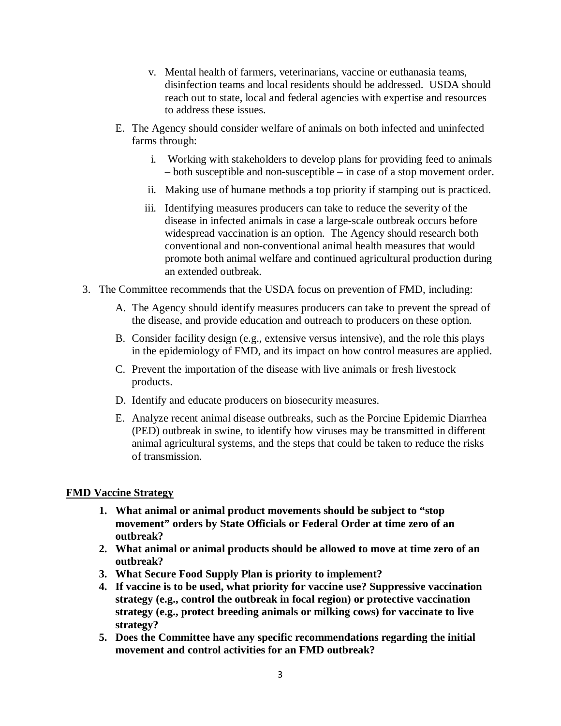- v. Mental health of farmers, veterinarians, vaccine or euthanasia teams, disinfection teams and local residents should be addressed. USDA should reach out to state, local and federal agencies with expertise and resources to address these issues.
- E. The Agency should consider welfare of animals on both infected and uninfected farms through:
	- i. Working with stakeholders to develop plans for providing feed to animals – both susceptible and non-susceptible – in case of a stop movement order.
	- ii. Making use of humane methods a top priority if stamping out is practiced.
	- iii. Identifying measures producers can take to reduce the severity of the disease in infected animals in case a large-scale outbreak occurs before widespread vaccination is an option. The Agency should research both conventional and non-conventional animal health measures that would promote both animal welfare and continued agricultural production during an extended outbreak.
- 3. The Committee recommends that the USDA focus on prevention of FMD, including:
	- A. The Agency should identify measures producers can take to prevent the spread of the disease, and provide education and outreach to producers on these option.
	- B. Consider facility design (e.g., extensive versus intensive), and the role this plays in the epidemiology of FMD, and its impact on how control measures are applied.
	- C. Prevent the importation of the disease with live animals or fresh livestock products.
	- D. Identify and educate producers on biosecurity measures.
	- E. Analyze recent animal disease outbreaks, such as the Porcine Epidemic Diarrhea (PED) outbreak in swine, to identify how viruses may be transmitted in different animal agricultural systems, and the steps that could be taken to reduce the risks of transmission.

## **FMD Vaccine Strategy**

- **1. What animal or animal product movements should be subject to "stop movement" orders by State Officials or Federal Order at time zero of an outbreak?**
- **2. What animal or animal products should be allowed to move at time zero of an outbreak?**
- **3. What Secure Food Supply Plan is priority to implement?**
- **4. If vaccine is to be used, what priority for vaccine use? Suppressive vaccination strategy (e.g., control the outbreak in focal region) or protective vaccination strategy (e.g., protect breeding animals or milking cows) for vaccinate to live strategy?**
- **5. Does the Committee have any specific recommendations regarding the initial movement and control activities for an FMD outbreak?**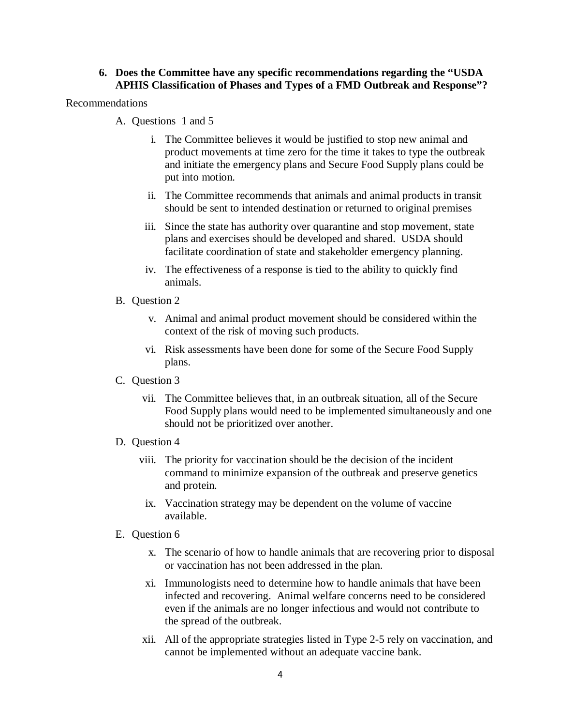#### **6. Does the Committee have any specific recommendations regarding the "USDA APHIS Classification of Phases and Types of a FMD Outbreak and Response"?**

Recommendations

- A. Questions 1 and 5
	- i. The Committee believes it would be justified to stop new animal and product movements at time zero for the time it takes to type the outbreak and initiate the emergency plans and Secure Food Supply plans could be put into motion.
	- ii. The Committee recommends that animals and animal products in transit should be sent to intended destination or returned to original premises
	- iii. Since the state has authority over quarantine and stop movement, state plans and exercises should be developed and shared. USDA should facilitate coordination of state and stakeholder emergency planning.
	- iv. The effectiveness of a response is tied to the ability to quickly find animals.
- B. Question 2
	- v. Animal and animal product movement should be considered within the context of the risk of moving such products.
	- vi. Risk assessments have been done for some of the Secure Food Supply plans.
- C. Question 3
	- vii. The Committee believes that, in an outbreak situation, all of the Secure Food Supply plans would need to be implemented simultaneously and one should not be prioritized over another.
- D. Question 4
	- viii. The priority for vaccination should be the decision of the incident command to minimize expansion of the outbreak and preserve genetics and protein.
		- ix. Vaccination strategy may be dependent on the volume of vaccine available.
- E. Question 6
	- x. The scenario of how to handle animals that are recovering prior to disposal or vaccination has not been addressed in the plan.
	- xi. Immunologists need to determine how to handle animals that have been infected and recovering. Animal welfare concerns need to be considered even if the animals are no longer infectious and would not contribute to the spread of the outbreak.
	- xii. All of the appropriate strategies listed in Type 2-5 rely on vaccination, and cannot be implemented without an adequate vaccine bank.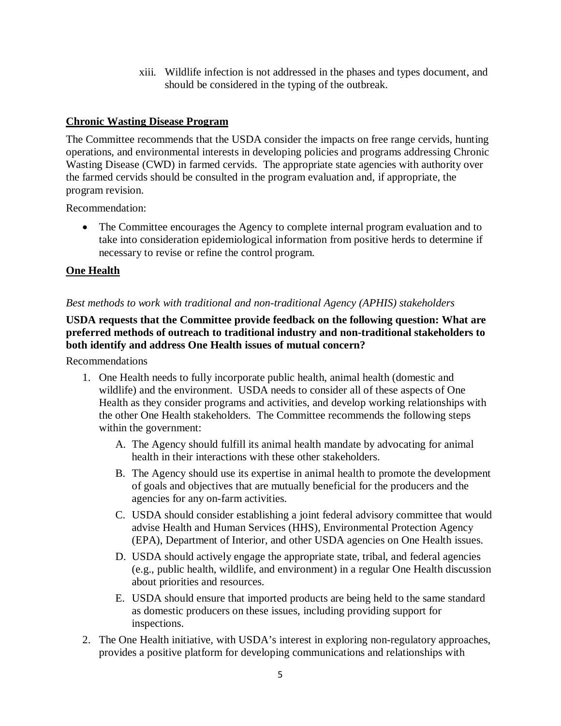xiii. Wildlife infection is not addressed in the phases and types document, and should be considered in the typing of the outbreak.

#### **Chronic Wasting Disease Program**

The Committee recommends that the USDA consider the impacts on free range cervids, hunting operations, and environmental interests in developing policies and programs addressing Chronic Wasting Disease (CWD) in farmed cervids. The appropriate state agencies with authority over the farmed cervids should be consulted in the program evaluation and, if appropriate, the program revision.

Recommendation:

• The Committee encourages the Agency to complete internal program evaluation and to take into consideration epidemiological information from positive herds to determine if necessary to revise or refine the control program.

#### **One Health**

#### *Best methods to work with traditional and non-traditional Agency (APHIS) stakeholders*

#### **USDA requests that the Committee provide feedback on the following question: What are preferred methods of outreach to traditional industry and non-traditional stakeholders to both identify and address One Health issues of mutual concern?**

Recommendations

- 1. One Health needs to fully incorporate public health, animal health (domestic and wildlife) and the environment. USDA needs to consider all of these aspects of One Health as they consider programs and activities, and develop working relationships with the other One Health stakeholders. The Committee recommends the following steps within the government:
	- A. The Agency should fulfill its animal health mandate by advocating for animal health in their interactions with these other stakeholders.
	- B. The Agency should use its expertise in animal health to promote the development of goals and objectives that are mutually beneficial for the producers and the agencies for any on-farm activities.
	- C. USDA should consider establishing a joint federal advisory committee that would advise Health and Human Services (HHS), Environmental Protection Agency (EPA), Department of Interior, and other USDA agencies on One Health issues.
	- D. USDA should actively engage the appropriate state, tribal, and federal agencies (e.g., public health, wildlife, and environment) in a regular One Health discussion about priorities and resources.
	- E. USDA should ensure that imported products are being held to the same standard as domestic producers on these issues, including providing support for inspections.
- 2. The One Health initiative, with USDA's interest in exploring non-regulatory approaches, provides a positive platform for developing communications and relationships with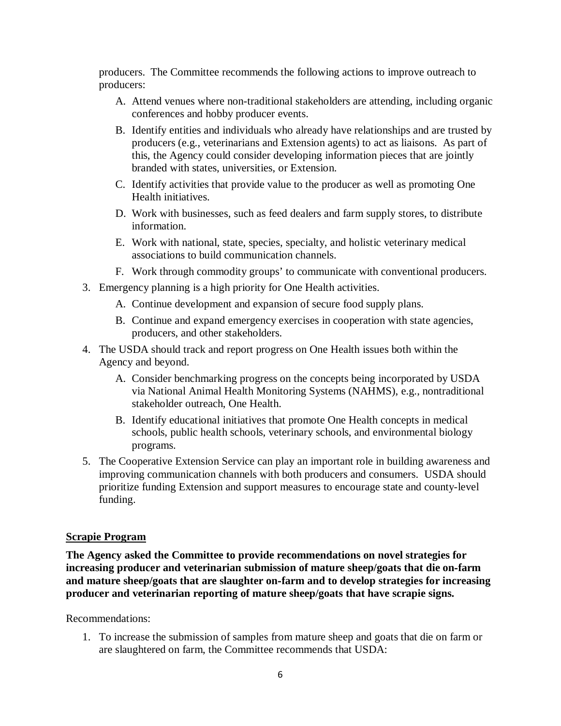producers. The Committee recommends the following actions to improve outreach to producers:

- A. Attend venues where non-traditional stakeholders are attending, including organic conferences and hobby producer events.
- B. Identify entities and individuals who already have relationships and are trusted by producers (e.g., veterinarians and Extension agents) to act as liaisons. As part of this, the Agency could consider developing information pieces that are jointly branded with states, universities, or Extension.
- C. Identify activities that provide value to the producer as well as promoting One Health initiatives.
- D. Work with businesses, such as feed dealers and farm supply stores, to distribute information.
- E. Work with national, state, species, specialty, and holistic veterinary medical associations to build communication channels.
- F. Work through commodity groups' to communicate with conventional producers.
- 3. Emergency planning is a high priority for One Health activities.
	- A. Continue development and expansion of secure food supply plans.
	- B. Continue and expand emergency exercises in cooperation with state agencies, producers, and other stakeholders.
- 4. The USDA should track and report progress on One Health issues both within the Agency and beyond.
	- A. Consider benchmarking progress on the concepts being incorporated by USDA via National Animal Health Monitoring Systems (NAHMS), e.g., nontraditional stakeholder outreach, One Health.
	- B. Identify educational initiatives that promote One Health concepts in medical schools, public health schools, veterinary schools, and environmental biology programs.
- 5. The Cooperative Extension Service can play an important role in building awareness and improving communication channels with both producers and consumers. USDA should prioritize funding Extension and support measures to encourage state and county-level funding.

#### **Scrapie Program**

**The Agency asked the Committee to provide recommendations on novel strategies for increasing producer and veterinarian submission of mature sheep/goats that die on**‐**farm and mature sheep/goats that are slaughter on**‐**farm and to develop strategies for increasing producer and veterinarian reporting of mature sheep/goats that have scrapie signs.**

Recommendations:

1. To increase the submission of samples from mature sheep and goats that die on farm or are slaughtered on farm, the Committee recommends that USDA: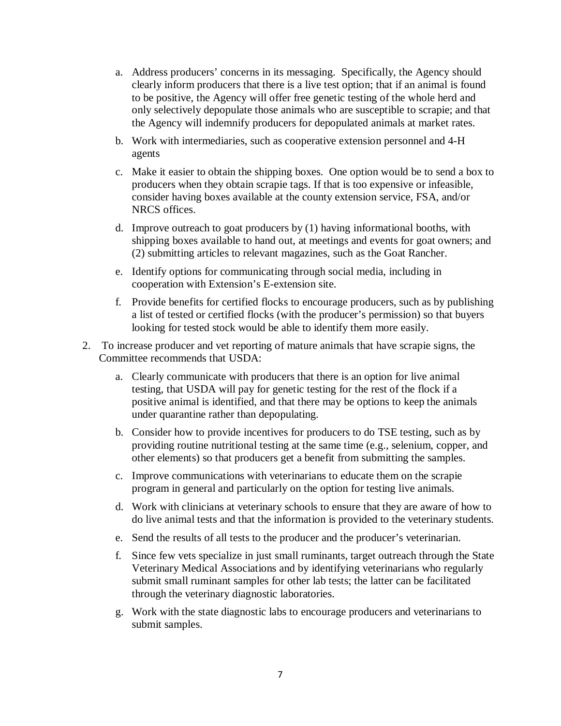- a. Address producers' concerns in its messaging. Specifically, the Agency should clearly inform producers that there is a live test option; that if an animal is found to be positive, the Agency will offer free genetic testing of the whole herd and only selectively depopulate those animals who are susceptible to scrapie; and that the Agency will indemnify producers for depopulated animals at market rates.
- b. Work with intermediaries, such as cooperative extension personnel and 4-H agents
- c. Make it easier to obtain the shipping boxes. One option would be to send a box to producers when they obtain scrapie tags. If that is too expensive or infeasible, consider having boxes available at the county extension service, FSA, and/or NRCS offices.
- d. Improve outreach to goat producers by (1) having informational booths, with shipping boxes available to hand out, at meetings and events for goat owners; and (2) submitting articles to relevant magazines, such as the Goat Rancher.
- e. Identify options for communicating through social media, including in cooperation with Extension's E-extension site.
- f. Provide benefits for certified flocks to encourage producers, such as by publishing a list of tested or certified flocks (with the producer's permission) so that buyers looking for tested stock would be able to identify them more easily.
- 2. To increase producer and vet reporting of mature animals that have scrapie signs, the Committee recommends that USDA:
	- a. Clearly communicate with producers that there is an option for live animal testing, that USDA will pay for genetic testing for the rest of the flock if a positive animal is identified, and that there may be options to keep the animals under quarantine rather than depopulating.
	- b. Consider how to provide incentives for producers to do TSE testing, such as by providing routine nutritional testing at the same time (e.g., selenium, copper, and other elements) so that producers get a benefit from submitting the samples.
	- c. Improve communications with veterinarians to educate them on the scrapie program in general and particularly on the option for testing live animals.
	- d. Work with clinicians at veterinary schools to ensure that they are aware of how to do live animal tests and that the information is provided to the veterinary students.
	- e. Send the results of all tests to the producer and the producer's veterinarian.
	- f. Since few vets specialize in just small ruminants, target outreach through the State Veterinary Medical Associations and by identifying veterinarians who regularly submit small ruminant samples for other lab tests; the latter can be facilitated through the veterinary diagnostic laboratories.
	- g. Work with the state diagnostic labs to encourage producers and veterinarians to submit samples.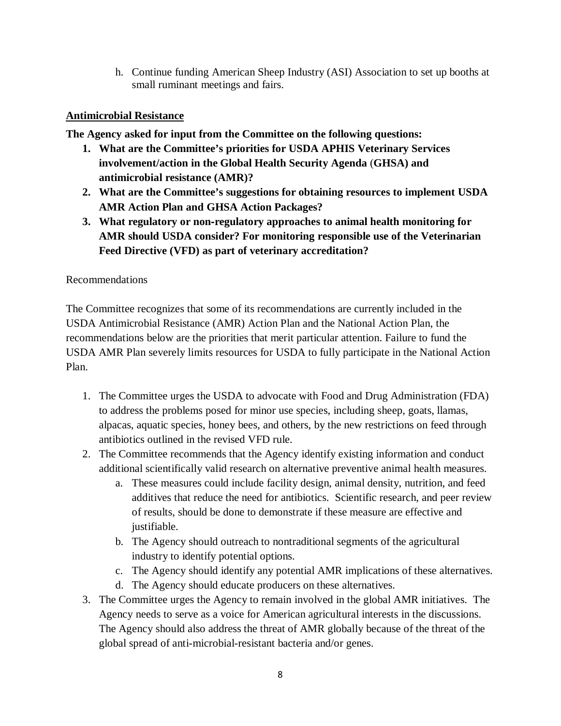h. Continue funding American Sheep Industry (ASI) Association to set up booths at small ruminant meetings and fairs.

# **Antimicrobial Resistance**

**The Agency asked for input from the Committee on the following questions:** 

- **1. What are the Committee's priorities for USDA APHIS Veterinary Services involvement/action in the Global Health Security Agenda** (**GHSA) and antimicrobial resistance (AMR)?**
- **2. What are the Committee's suggestions for obtaining resources to implement USDA AMR Action Plan and GHSA Action Packages?**
- **3. What regulatory or non**‐**regulatory approaches to animal health monitoring for AMR should USDA consider? For monitoring responsible use of the Veterinarian Feed Directive (VFD) as part of veterinary accreditation?**

## Recommendations

The Committee recognizes that some of its recommendations are currently included in the USDA Antimicrobial Resistance (AMR) Action Plan and the National Action Plan, the recommendations below are the priorities that merit particular attention. Failure to fund the USDA AMR Plan severely limits resources for USDA to fully participate in the National Action Plan.

- 1. The Committee urges the USDA to advocate with Food and Drug Administration (FDA) to address the problems posed for minor use species, including sheep, goats, llamas, alpacas, aquatic species, honey bees, and others, by the new restrictions on feed through antibiotics outlined in the revised VFD rule.
- 2. The Committee recommends that the Agency identify existing information and conduct additional scientifically valid research on alternative preventive animal health measures.
	- a. These measures could include facility design, animal density, nutrition, and feed additives that reduce the need for antibiotics. Scientific research, and peer review of results, should be done to demonstrate if these measure are effective and justifiable.
	- b. The Agency should outreach to nontraditional segments of the agricultural industry to identify potential options.
	- c. The Agency should identify any potential AMR implications of these alternatives.
	- d. The Agency should educate producers on these alternatives.
- 3. The Committee urges the Agency to remain involved in the global AMR initiatives. The Agency needs to serve as a voice for American agricultural interests in the discussions. The Agency should also address the threat of AMR globally because of the threat of the global spread of anti-microbial-resistant bacteria and/or genes.